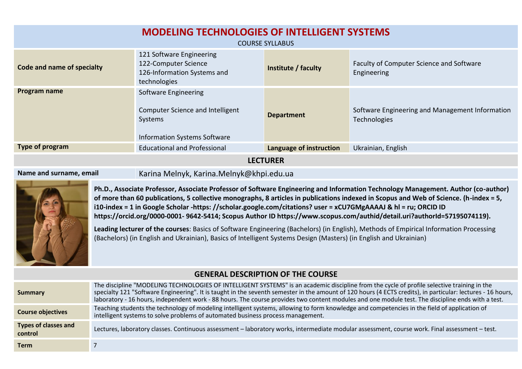| <b>MODELING TECHNOLOGIES OF INTELLIGENT SYSTEMS</b><br><b>COURSE SYLLABUS</b> |                                                                                                                   |                         |                                                                 |  |  |
|-------------------------------------------------------------------------------|-------------------------------------------------------------------------------------------------------------------|-------------------------|-----------------------------------------------------------------|--|--|
| Code and name of specialty                                                    | 121 Software Engineering<br>122-Computer Science<br>126-Information Systems and<br>technologies                   | Institute / faculty     | Faculty of Computer Science and Software<br>Engineering         |  |  |
| Program name                                                                  | Software Engineering<br><b>Computer Science and Intelligent</b><br>Systems<br><b>Information Systems Software</b> | <b>Department</b>       | Software Engineering and Management Information<br>Technologies |  |  |
| Type of program                                                               | <b>Educational and Professional</b>                                                                               | Language of instruction | Ukrainian, English                                              |  |  |
| I FCTI IRFR                                                                   |                                                                                                                   |                         |                                                                 |  |  |

**LECTURER**

**Name and surname, email** Karina Melnyk, Karina.Melnyk@khpi.edu.ua



**Ph.D., Associate Professor, Associate Professor of Software Engineering and Information Technology Management. Author (co-author) of more than 60 publications, 5 collective monographs, 8 articles in publications indexed in Scopus and Web of Science. (h-index = 5, i10-index = 1 in Google Scholar -https: //scholar.google.com/citations? user = xCU7GMgAAAAJ & hl = ru; ORCID ID https://orcid.org/0000-0001- 9642-5414; Scopus Author ID https://www.scopus.com/authid/detail.uri?authorId=57195074119).**

**Leading lecturer of the courses**: Basics of Software Engineering (Bachelors) (in English), Methods of Empirical Information Processing (Bachelors) (in English and Ukrainian), Basics of Intelligent Systems Design (Masters) (in English and Ukrainian)

## **GENERAL DESCRIPTION OF THE COURSE**

| <b>Summary</b>                         | The discipline "MODELING TECHNOLOGIES OF INTELLIGENT SYSTEMS" is an academic discipline from the cycle of profile selective training in the<br>specialty 121 "Software Engineering". It is taught in the seventh semester in the amount of 120 hours (4 ECTS credits), in particular: lectures - 16 hours,<br>laboratory - 16 hours, independent work - 88 hours. The course provides two content modules and one module test. The discipline ends with a test. |
|----------------------------------------|-----------------------------------------------------------------------------------------------------------------------------------------------------------------------------------------------------------------------------------------------------------------------------------------------------------------------------------------------------------------------------------------------------------------------------------------------------------------|
| <b>Course objectives</b>               | Teaching students the technology of modeling intelligent systems, allowing to form knowledge and competencies in the field of application of<br>intelligent systems to solve problems of automated business process management.                                                                                                                                                                                                                                 |
| <b>Types of classes and</b><br>control | Lectures, laboratory classes. Continuous assessment - laboratory works, intermediate modular assessment, course work. Final assessment - test.                                                                                                                                                                                                                                                                                                                  |
| <b>Term</b>                            |                                                                                                                                                                                                                                                                                                                                                                                                                                                                 |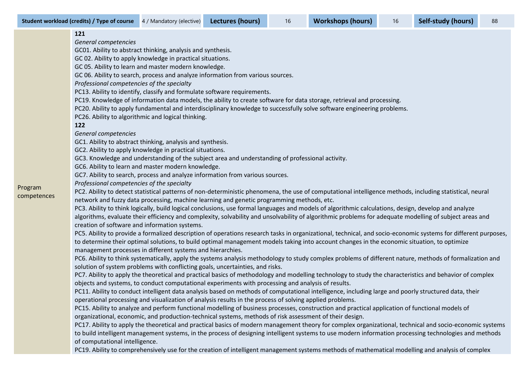**Student workload (credits) / Type of course** 4 / Mandatory (elective) **Lectures (hours)** 16 **Workshops (hours)** 16 **Self-study (hours)** 88

|             | 121                                                                                                                                                            |
|-------------|----------------------------------------------------------------------------------------------------------------------------------------------------------------|
|             | General competencies                                                                                                                                           |
|             | GC01. Ability to abstract thinking, analysis and synthesis.                                                                                                    |
|             | GC 02. Ability to apply knowledge in practical situations.                                                                                                     |
|             | GC 05. Ability to learn and master modern knowledge.                                                                                                           |
|             | GC 06. Ability to search, process and analyze information from various sources.                                                                                |
|             | Professional competencies of the specialty                                                                                                                     |
|             | PC13. Ability to identify, classify and formulate software requirements.                                                                                       |
|             | PC19. Knowledge of information data models, the ability to create software for data storage, retrieval and processing.                                         |
|             | PC20. Ability to apply fundamental and interdisciplinary knowledge to successfully solve software engineering problems.                                        |
|             | PC26. Ability to algorithmic and logical thinking.                                                                                                             |
|             | 122                                                                                                                                                            |
|             | General competencies                                                                                                                                           |
|             | GC1. Ability to abstract thinking, analysis and synthesis.                                                                                                     |
|             | GC2. Ability to apply knowledge in practical situations.                                                                                                       |
|             | GC3. Knowledge and understanding of the subject area and understanding of professional activity.                                                               |
|             | GC6. Ability to learn and master modern knowledge.                                                                                                             |
|             | GC7. Ability to search, process and analyze information from various sources.                                                                                  |
| Program     | Professional competencies of the specialty                                                                                                                     |
| competences | PC2. Ability to detect statistical patterns of non-deterministic phenomena, the use of computational intelligence methods, including statistical, neural       |
|             | network and fuzzy data processing, machine learning and genetic programming methods, etc.                                                                      |
|             | PC3. Ability to think logically, build logical conclusions, use formal languages and models of algorithmic calculations, design, develop and analyze           |
|             | algorithms, evaluate their efficiency and complexity, solvability and unsolvability of algorithmic problems for adequate modelling of subject areas and        |
|             | creation of software and information systems.                                                                                                                  |
|             | PC5. Ability to provide a formalized description of operations research tasks in organizational, technical, and socio-economic systems for different purposes, |
|             | to determine their optimal solutions, to build optimal management models taking into account changes in the economic situation, to optimize                    |
|             | management processes in different systems and hierarchies.                                                                                                     |
|             | PC6. Ability to think systematically, apply the systems analysis methodology to study complex problems of different nature, methods of formalization and       |
|             | solution of system problems with conflicting goals, uncertainties, and risks.                                                                                  |
|             | PC7. Ability to apply the theoretical and practical basics of methodology and modelling technology to study the characteristics and behavior of complex        |
|             | objects and systems, to conduct computational experiments with processing and analysis of results.                                                             |
|             | PC11. Ability to conduct intelligent data analysis based on methods of computational intelligence, including large and poorly structured data, their           |
|             | operational processing and visualization of analysis results in the process of solving applied problems.                                                       |
|             | PC15. Ability to analyze and perform functional modelling of business processes, construction and practical application of functional models of                |
|             | organizational, economic, and production-technical systems, methods of risk assessment of their design.                                                        |
|             | PC17. Ability to apply the theoretical and practical basics of modern management theory for complex organizational, technical and socio-economic systems       |
|             | to build intelligent management systems, in the process of designing intelligent systems to use modern information processing technologies and methods         |
|             | of computational intelligence.                                                                                                                                 |
|             | PC19. Ability to comprehensively use for the creation of intelligent management systems methods of mathematical modelling and analysis of complex              |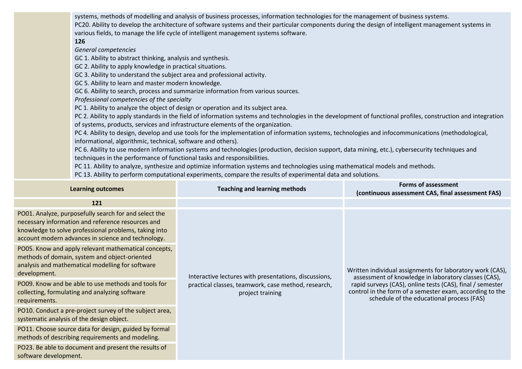systems, methods of modelling and analysis of business processes, information technologies for the management of business systems. PC20. Ability to develop the architecture of software systems and their particular components during the design of intelligent management systems in various fields, to manage the life cycle of intelligent management systems software.

## **126**

*General competencies*

GC 1. Ability to abstract thinking, analysis and synthesis.

GC 2. Ability to apply knowledge in practical situations.

GC 3. Ability to understand the subject area and professional activity.

GC 5. Ability to learn and master modern knowledge.

GC 6. Ability to search, process and summarize information from various sources.

*Professional competencies of the specialty*

PC 1. Ability to analyze the object of design or operation and its subject area.

PC 2. Ability to apply standards in the field of information systems and technologies in the development of functional profiles, construction and integration of systems, products, services and infrastructure elements of the organization.

PC 4. Ability to design, develop and use tools for the implementation of information systems, technologies and infocommunications (methodological, informational, algorithmic, technical, software and others).

PC 6. Ability to use modern information systems and technologies (production, decision support, data mining, etc.), cybersecurity techniques and techniques in the performance of functional tasks and responsibilities.

PC 11. Ability to analyze, synthesize and optimize information systems and technologies using mathematical models and methods.

PC 13. Ability to perform computational experiments, compare the results of experimental data and solutions.

| <b>Learning outcomes</b>                                                                                                                                                                                                  | <b>Teaching and learning methods</b>                                    | <b>Forms of assessment</b><br>(continuous assessment CAS, final assessment FAS)                                                                                                                                                                                                         |
|---------------------------------------------------------------------------------------------------------------------------------------------------------------------------------------------------------------------------|-------------------------------------------------------------------------|-----------------------------------------------------------------------------------------------------------------------------------------------------------------------------------------------------------------------------------------------------------------------------------------|
| 121                                                                                                                                                                                                                       |                                                                         |                                                                                                                                                                                                                                                                                         |
| PO01. Analyze, purposefully search for and select the<br>necessary information and reference resources and<br>knowledge to solve professional problems, taking into<br>account modern advances in science and technology. |                                                                         | Written individual assignments for laboratory work (CAS),<br>assessment of knowledge in laboratory classes (CAS),<br>rapid surveys (CAS), online tests (CAS), final / semester<br>control in the form of a semester exam, according to the<br>schedule of the educational process (FAS) |
| PO05. Know and apply relevant mathematical concepts,<br>methods of domain, system and object-oriented<br>analysis and mathematical modelling for software<br>development.                                                 | Interactive lectures with presentations, discussions,                   |                                                                                                                                                                                                                                                                                         |
| PO09. Know and be able to use methods and tools for<br>collecting, formulating and analyzing software<br>requirements.                                                                                                    | practical classes, teamwork, case method, research,<br>project training |                                                                                                                                                                                                                                                                                         |
| PO10. Conduct a pre-project survey of the subject area,<br>systematic analysis of the design object.                                                                                                                      |                                                                         |                                                                                                                                                                                                                                                                                         |
| PO11. Choose source data for design, guided by formal<br>methods of describing requirements and modeling.                                                                                                                 |                                                                         |                                                                                                                                                                                                                                                                                         |
| PO23. Be able to document and present the results of<br>software development.                                                                                                                                             |                                                                         |                                                                                                                                                                                                                                                                                         |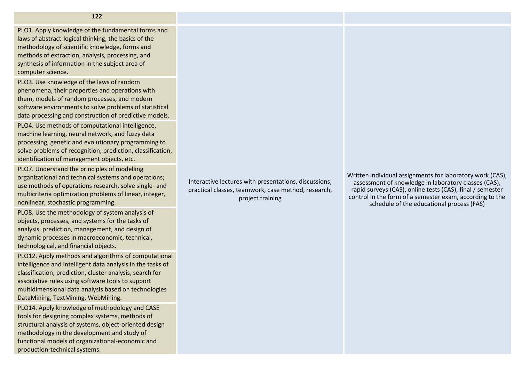PLO1. Apply knowledge of the fundamental forms and laws of abstract-logical thinking, the basics of the methodology of scientific knowledge, forms and methods of extraction, analysis, processing, and synthesis of information in the subject area of computer science.

PLO3. Use knowledge of the laws of random phenomena, their properties and operations with them, models of random processes, and modern software environments to solve problems of statistical data processing and construction of predictive models.

PLO4. Use methods of computational intelligence, machine learning, neural network, and fuzzy data processing, genetic and evolutionary programming to solve problems of recognition, prediction, classification, identification of management objects, etc.

PLO7. Understand the principles of modelling organizational and technical systems and operations; use methods of operations research, solve single- and multicriteria optimization problems of linear, integer, nonlinear, stochastic programming.

PLO8. Use the methodology of system analysis of objects, processes, and systems for the tasks of analysis, prediction, management, and design of dynamic processes in macroeconomic, technical, technological, and financial objects.

PLO12. Apply methods and algorithms of computational intelligence and intelligent data analysis in the tasks of classification, prediction, cluster analysis, search for associative rules using software tools to support multidimensional data analysis based on technologies DataMining, TextMining, WebMining.

PLO14. Apply knowledge of methodology and CASE tools for designing complex systems, methods of structural analysis of systems, object-oriented design methodology in the development and study of functional models of organizational-economic and production-technical systems.

Interactive lectures with presentations, discussions, practical classes, teamwork, case method, research, project training

Written individual assignments for laboratory work (CAS), assessment of knowledge in laboratory classes (CAS), rapid surveys (CAS), online tests (CAS), final / semester control in the form of a semester exam, according to the schedule of the educational process (FAS)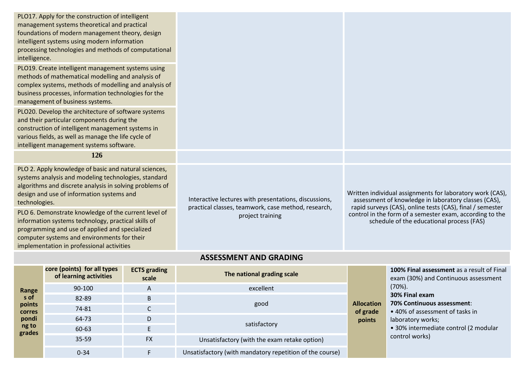| intelligence.                                                                                                                                                                                                                                             | PLO17. Apply for the construction of intelligent<br>management systems theoretical and practical<br>foundations of modern management theory, design<br>intelligent systems using modern information<br>processing technologies and methods of computational<br>PLO19. Create intelligent management systems using<br>methods of mathematical modelling and analysis of<br>complex systems, methods of modelling and analysis of<br>business processes, information technologies for the<br>management of business systems.<br>PLO20. Develop the architecture of software systems<br>and their particular components during the<br>construction of intelligent management systems in<br>various fields, as well as manage the life cycle of<br>intelligent management systems software. |                              |                                                                                                                                                                                                                                                                                                |                                                                                                       |                                                                                                 |  |
|-----------------------------------------------------------------------------------------------------------------------------------------------------------------------------------------------------------------------------------------------------------|-----------------------------------------------------------------------------------------------------------------------------------------------------------------------------------------------------------------------------------------------------------------------------------------------------------------------------------------------------------------------------------------------------------------------------------------------------------------------------------------------------------------------------------------------------------------------------------------------------------------------------------------------------------------------------------------------------------------------------------------------------------------------------------------|------------------------------|------------------------------------------------------------------------------------------------------------------------------------------------------------------------------------------------------------------------------------------------------------------------------------------------|-------------------------------------------------------------------------------------------------------|-------------------------------------------------------------------------------------------------|--|
|                                                                                                                                                                                                                                                           | 126                                                                                                                                                                                                                                                                                                                                                                                                                                                                                                                                                                                                                                                                                                                                                                                     |                              |                                                                                                                                                                                                                                                                                                |                                                                                                       |                                                                                                 |  |
| PLO 2. Apply knowledge of basic and natural sciences,<br>systems analysis and modeling technologies, standard<br>algorithms and discrete analysis in solving problems of<br>design and use of information systems and<br>technologies.                    |                                                                                                                                                                                                                                                                                                                                                                                                                                                                                                                                                                                                                                                                                                                                                                                         |                              | Written individual assignments for laboratory work (CAS),<br>Interactive lectures with presentations, discussions,<br>assessment of knowledge in laboratory classes (CAS),<br>rapid surveys (CAS), online tests (CAS), final / semester<br>practical classes, teamwork, case method, research, |                                                                                                       |                                                                                                 |  |
| PLO 6. Demonstrate knowledge of the current level of<br>information systems technology, practical skills of<br>programming and use of applied and specialized<br>computer systems and environments for their<br>implementation in professional activities |                                                                                                                                                                                                                                                                                                                                                                                                                                                                                                                                                                                                                                                                                                                                                                                         |                              | project training                                                                                                                                                                                                                                                                               | control in the form of a semester exam, according to the<br>schedule of the educational process (FAS) |                                                                                                 |  |
|                                                                                                                                                                                                                                                           | <b>ASSESSMENT AND GRADING</b>                                                                                                                                                                                                                                                                                                                                                                                                                                                                                                                                                                                                                                                                                                                                                           |                              |                                                                                                                                                                                                                                                                                                |                                                                                                       |                                                                                                 |  |
|                                                                                                                                                                                                                                                           | core (points) for all types<br>of learning activities                                                                                                                                                                                                                                                                                                                                                                                                                                                                                                                                                                                                                                                                                                                                   | <b>ECTS</b> grading<br>scale | The national grading scale                                                                                                                                                                                                                                                                     |                                                                                                       | 100% Final assessment as a result of Final<br>exam (30%) and Continuous assessment<br>$(70\%).$ |  |
| Range                                                                                                                                                                                                                                                     | 90-100                                                                                                                                                                                                                                                                                                                                                                                                                                                                                                                                                                                                                                                                                                                                                                                  | A                            | excellent                                                                                                                                                                                                                                                                                      |                                                                                                       |                                                                                                 |  |
| s of<br>points                                                                                                                                                                                                                                            | 82-89                                                                                                                                                                                                                                                                                                                                                                                                                                                                                                                                                                                                                                                                                                                                                                                   | $\sf B$                      | good                                                                                                                                                                                                                                                                                           | <b>Allocation</b>                                                                                     | 30% Final exam<br>70% Continuous assessment:                                                    |  |
| corres                                                                                                                                                                                                                                                    | 74-81                                                                                                                                                                                                                                                                                                                                                                                                                                                                                                                                                                                                                                                                                                                                                                                   | $\mathsf{C}$                 |                                                                                                                                                                                                                                                                                                | of grade                                                                                              | • 40% of assessment of tasks in                                                                 |  |
| pondi                                                                                                                                                                                                                                                     | 64-73                                                                                                                                                                                                                                                                                                                                                                                                                                                                                                                                                                                                                                                                                                                                                                                   | D                            | satisfactory                                                                                                                                                                                                                                                                                   | points                                                                                                | laboratory works;                                                                               |  |
| ng to                                                                                                                                                                                                                                                     | 50.52                                                                                                                                                                                                                                                                                                                                                                                                                                                                                                                                                                                                                                                                                                                                                                                   | Е                            |                                                                                                                                                                                                                                                                                                |                                                                                                       | .30% intermediate control (2 modular                                                            |  |

**grades** 

60-63 Е

35-59 FХ Unsatisfactory (with the exam retake option)

0-34 **F** Unsatisfactory (with mandatory repetition of the course)

• 30% intermediate control (2 modular control works)